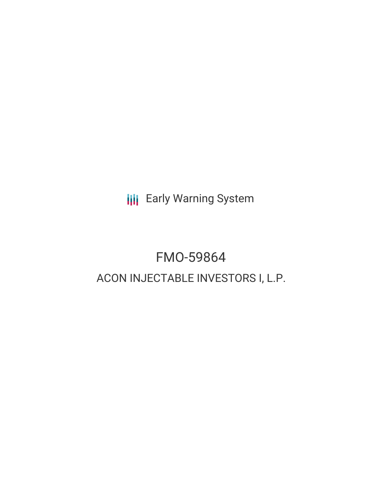**III** Early Warning System

# FMO-59864 ACON INJECTABLE INVESTORS I, L.P.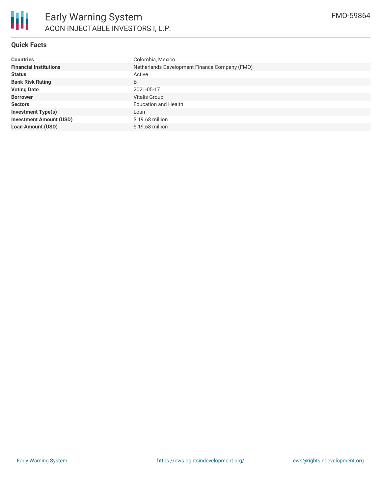

# **Quick Facts**

| <b>Countries</b>               | Colombia, Mexico                              |  |  |  |
|--------------------------------|-----------------------------------------------|--|--|--|
| <b>Financial Institutions</b>  | Netherlands Development Finance Company (FMO) |  |  |  |
| <b>Status</b>                  | Active                                        |  |  |  |
| <b>Bank Risk Rating</b>        | B                                             |  |  |  |
| <b>Voting Date</b>             | 2021-05-17                                    |  |  |  |
| <b>Borrower</b>                | <b>Vitalis Group</b>                          |  |  |  |
| <b>Sectors</b>                 | <b>Education and Health</b>                   |  |  |  |
| <b>Investment Type(s)</b>      | Loan                                          |  |  |  |
| <b>Investment Amount (USD)</b> | $$19.68$ million                              |  |  |  |
| <b>Loan Amount (USD)</b>       | \$19.68 million                               |  |  |  |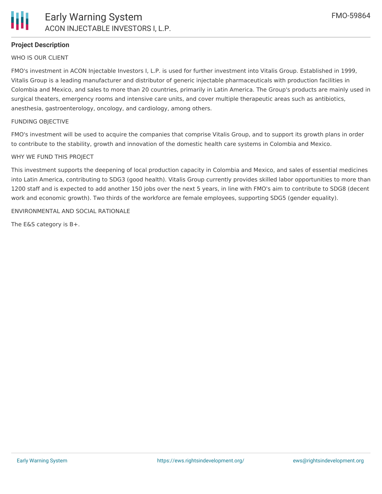

## **Project Description**

#### WHO IS OUR CLIENT

FMO's investment in ACON Injectable Investors I, L.P. is used for further investment into Vitalis Group. Established in 1999, Vitalis Group is a leading manufacturer and distributor of generic injectable pharmaceuticals with production facilities in Colombia and Mexico, and sales to more than 20 countries, primarily in Latin America. The Group's products are mainly used in surgical theaters, emergency rooms and intensive care units, and cover multiple therapeutic areas such as antibiotics, anesthesia, gastroenterology, oncology, and cardiology, among others.

#### FUNDING OBJECTIVE

FMO's investment will be used to acquire the companies that comprise Vitalis Group, and to support its growth plans in order to contribute to the stability, growth and innovation of the domestic health care systems in Colombia and Mexico.

#### WHY WE FUND THIS PROJECT

This investment supports the deepening of local production capacity in Colombia and Mexico, and sales of essential medicines into Latin America, contributing to SDG3 (good health). Vitalis Group currently provides skilled labor opportunities to more than 1200 staff and is expected to add another 150 jobs over the next 5 years, in line with FMO's aim to contribute to SDG8 (decent work and economic growth). Two thirds of the workforce are female employees, supporting SDG5 (gender equality).

#### ENVIRONMENTAL AND SOCIAL RATIONALE

The E&S category is B+.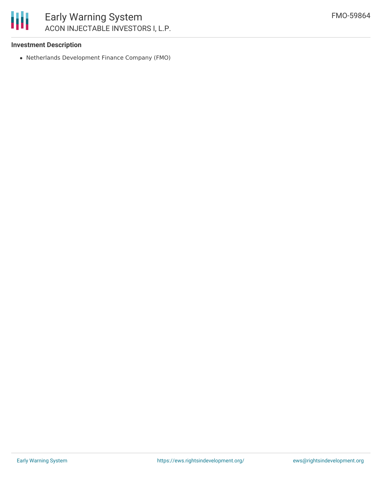### **Investment Description**

Netherlands Development Finance Company (FMO)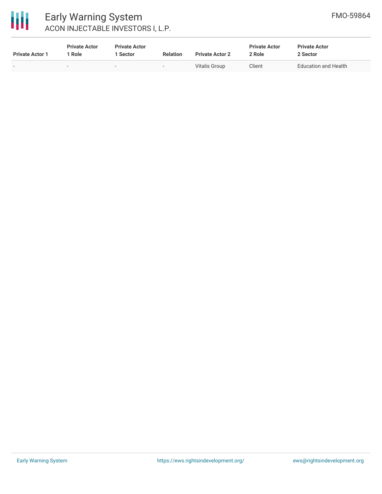

# Early Warning System ACON INJECTABLE INVESTORS I, L.P.

| <b>Private Actor 1</b> | <b>Private Actor</b><br>* Role | <b>Private Actor</b><br>1 Sector | <b>Relation</b>          | <b>Private Actor 2</b> | <b>Private Actor</b><br>2 Role | <b>Private Actor</b><br>2 Sector |
|------------------------|--------------------------------|----------------------------------|--------------------------|------------------------|--------------------------------|----------------------------------|
|                        |                                | $\overline{\phantom{a}}$         | $\overline{\phantom{0}}$ | Vitalis Group          | Client                         | <b>Education and Health</b>      |